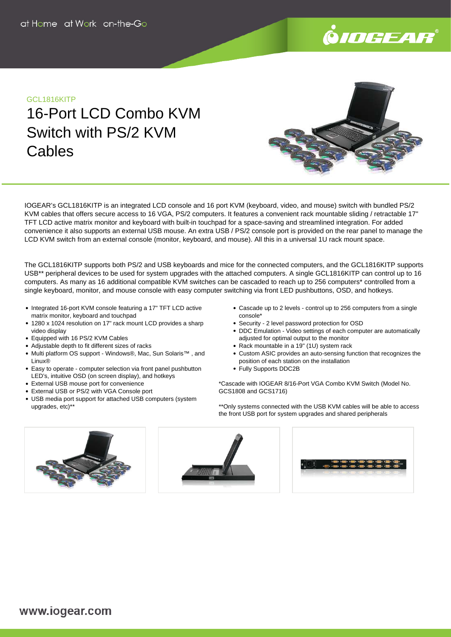

## GCL1816KITP

# 16-Port LCD Combo KVM Switch with PS/2 KVM **Cables**

IOGEAR's GCL1816KITP is an integrated LCD console and 16 port KVM (keyboard, video, and mouse) switch with bundled PS/2 KVM cables that offers secure access to 16 VGA, PS/2 computers. It features a convenient rack mountable sliding / retractable 17" TFT LCD active matrix monitor and keyboard with built-in touchpad for a space-saving and streamlined integration. For added convenience it also supports an external USB mouse. An extra USB / PS/2 console port is provided on the rear panel to manage the LCD KVM switch from an external console (monitor, keyboard, and mouse). All this in a universal 1U rack mount space.

The GCL1816KITP supports both PS/2 and USB keyboards and mice for the connected computers, and the GCL1816KITP supports USB\*\* peripheral devices to be used for system upgrades with the attached computers. A single GCL1816KITP can control up to 16 computers. As many as 16 additional compatible KVM switches can be cascaded to reach up to 256 computers\* controlled from a single keyboard, monitor, and mouse console with easy computer switching via front LED pushbuttons, OSD, and hotkeys.

- Integrated 16-port KVM console featuring a 17" TFT LCD active matrix monitor, keyboard and touchpad
- 1280 x 1024 resolution on 17" rack mount LCD provides a sharp video display
- Equipped with 16 PS/2 KVM Cables
- Adjustable depth to fit different sizes of racks
- Multi platform OS support Windows®, Mac, Sun Solaris™ , and Linux®
- Easy to operate computer selection via front panel pushbutton LED's, intuitive OSD (on screen display), and hotkeys
- External USB mouse port for convenience
- External USB or PS/2 with VGA Console port
- USB media port support for attached USB computers (system upgrades, etc)\*\*
- Cascade up to 2 levels control up to 256 computers from a single console\*
- Security 2 level password protection for OSD
- DDC Emulation Video settings of each computer are automatically adjusted for optimal output to the monitor
- Rack mountable in a 19" (1U) system rack
- Custom ASIC provides an auto-sensing function that recognizes the position of each station on the installation
- Fully Supports DDC2B

\*Cascade with IOGEAR 8/16-Port VGA Combo KVM Switch (Model No. GCS1808 and GCS1716)

\*\*Only systems connected with the USB KVM cables will be able to access the front USB port for system upgrades and shared peripherals

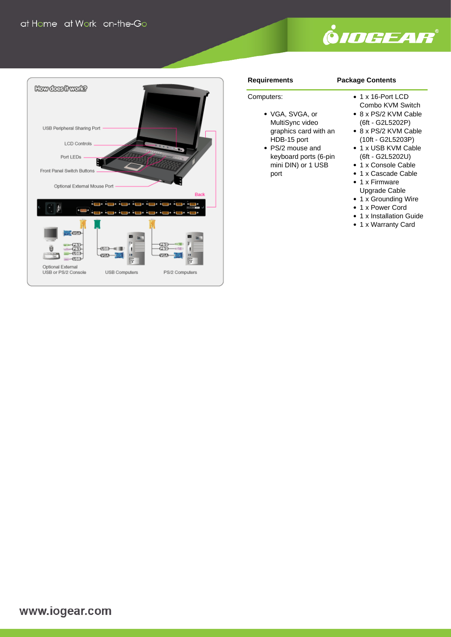



#### **Requirements**

#### **Package Contents**

## Computers:

- VGA, SVGA, or MultiSync video graphics card with an HDB-15 port
- PS/2 mouse and keyboard ports (6-pin mini DIN) or 1 USB port
- 1 x 16-Port LCD
- Combo KVM Switch
- 8 x PS/2 KVM Cable (6ft - G2L5202P)
- 8 x PS/2 KVM Cable (10ft - G2L5203P)
- 1 x USB KVM Cable (6ft - G2L5202U)
- 1 x Console Cable
- 1 x Cascade Cable
- 1 x Firmware Upgrade Cable
- 1 x Grounding Wire
- 1 x Power Cord
- 1 x Installation Guide
- 1 x Warranty Card